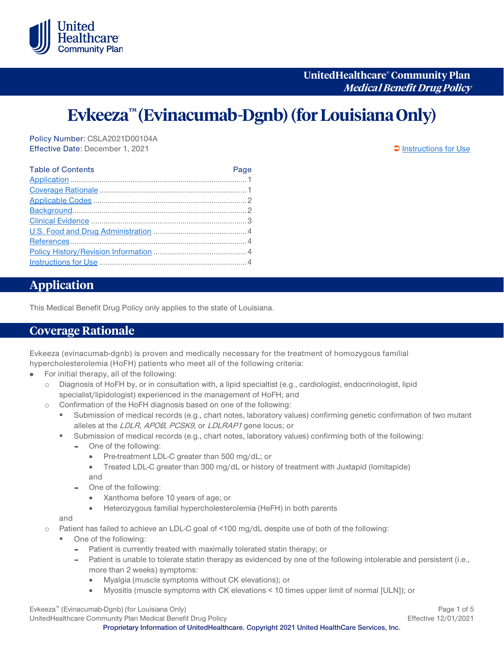

**UnitedHealthcare® Community Plan Medical Benefit Drug Policy**

# **Evkeeza™ (Evinacumab-Dgnb)(for Louisiana Only)**

Policy Number: CSLA2021D00104A Effective Date: December 1, 2021 [Instructions for Use](#page-3-0)

| <b>Table of Contents</b> | Page |
|--------------------------|------|
|                          |      |
|                          |      |
|                          |      |
|                          |      |
|                          |      |
|                          |      |
|                          |      |
|                          |      |
|                          |      |

# <span id="page-0-0"></span>**Application**

This Medical Benefit Drug Policy only applies to the state of Louisiana.

#### <span id="page-0-1"></span>**Coverage Rationale**

Evkeeza (evinacumab-dgnb) is proven and medically necessary for the treatment of homozygous familial hypercholesterolemia (HoFH) patients who meet all of the following criteria:

- For initial therapy, all of the following: ò.
	- o Diagnosis of HoFH by, or in consultation with, a lipid specialtist (e.g., cardiologist, endocrinologist, lipid specialist/lipidologist) experienced in the management of HoFH; and
	- o Confirmation of the HoFH diagnosis based on one of the following:
		- Submission of medical records (e.g., chart notes, laboratory values) confirming genetic confirmation of two mutant alleles at the LDLR, APOB, PCSK9, or LDLRAP1 gene locus; or
		- Submission of medical records (e.g., chart notes, laboratory values) confirming both of the following:
			- One of the following:
				- Pre-treatment LDL-C greater than 500 mg/dL; or
				- Treated LDL-C greater than 300 mg/dL or history of treatment with Juxtapid (lomitapide) and
			- One of the following:
				- Xanthoma before 10 years of age; or
				- Heterozygous familial hypercholesterolemia (HeFH) in both parents

and

o Patient has failed to achieve an LDL-C goal of <100 mg/dL despite use of both of the following:

- One of the following:
	- Patient is currently treated with maximally tolerated statin therapy; or
	- Patient is unable to tolerate statin therapy as evidenced by one of the following intolerable and persistent (i.e., more than 2 weeks) symptoms:
		- Myalgia (muscle symptoms without CK elevations); or
		- Myositis (muscle symptoms with CK elevations < 10 times upper limit of normal [ULN]); or

Evkeeza™ (Evinacumab-Dgnb) (for Louisiana Only) Page 1 of 5 UnitedHealthcare Community Plan Medical Benefit Drug Policy **Effective 12/01/2021** Effective 12/01/2021

**Proprietary Information of UnitedHealthcare. Copyright 2021 United HealthCare Services, Inc.**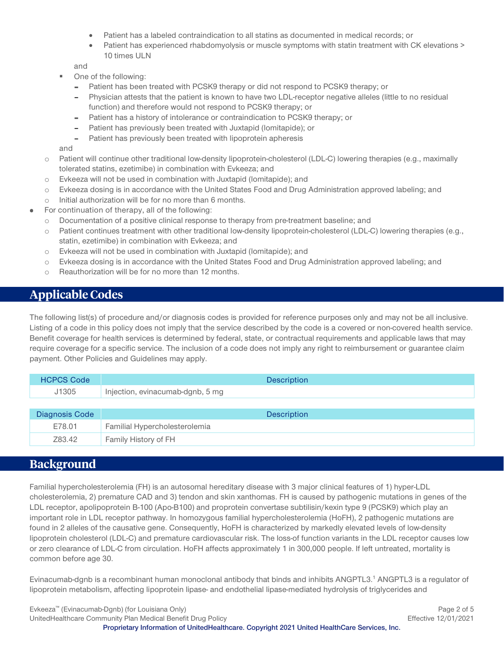- Patient has a labeled contraindication to all statins as documented in medical records; or
- Patient has experienced rhabdomyolysis or muscle symptoms with statin treatment with CK elevations > 10 times ULN

and

- One of the following:
	- Patient has been treated with PCSK9 therapy or did not respond to PCSK9 therapy; or
	- Physician attests that the patient is known to have two LDL-receptor negative alleles (little to no residual function) and therefore would not respond to PCSK9 therapy; or
	- Patient has a history of intolerance or contraindication to PCSK9 therapy; or
	- Patient has previously been treated with Juxtapid (lomitapide); or
	- Patient has previously been treated with lipoprotein apheresis

and

- o Patient will continue other traditional low-density lipoprotein-cholesterol (LDL-C) lowering therapies (e.g., maximally tolerated statins, ezetimibe) in combination with Evkeeza; and
- o Evkeeza will not be used in combination with Juxtapid (lomitapide); and
- o Evkeeza dosing is in accordance with the United States Food and Drug Administration approved labeling; and
- o Initial authorization will be for no more than 6 months.
- For continuation of therapy, all of the following:
	- o Documentation of a positive clinical response to therapy from pre-treatment baseline; and
	- o Patient continues treatment with other traditional low-density lipoprotein-cholesterol (LDL-C) lowering therapies (e.g., statin, ezetimibe) in combination with Evkeeza; and
	- o Evkeeza will not be used in combination with Juxtapid (lomitapide); and
	- o Evkeeza dosing is in accordance with the United States Food and Drug Administration approved labeling; and
	- o Reauthorization will be for no more than 12 months.

## <span id="page-1-0"></span>**Applicable Codes**

The following list(s) of procedure and/or diagnosis codes is provided for reference purposes only and may not be all inclusive. Listing of a code in this policy does not imply that the service described by the code is a covered or non-covered health service. Benefit coverage for health services is determined by federal, state, or contractual requirements and applicable laws that may require coverage for a specific service. The inclusion of a code does not imply any right to reimbursement or guarantee claim payment. Other Policies and Guidelines may apply.

| <b>HCPCS Code</b> | <b>Description</b>               |
|-------------------|----------------------------------|
| J1305             | Injection, evinacumab-dgnb, 5 mg |
|                   |                                  |
|                   |                                  |
| Diagnosis Code    | <b>Description</b>               |
| E78.01            | Familial Hypercholesterolemia    |

#### <span id="page-1-1"></span>**Background**

Familial hypercholesterolemia (FH) is an autosomal hereditary disease with 3 major clinical features of 1) hyper-LDL cholesterolemia, 2) premature CAD and 3) tendon and skin xanthomas. FH is caused by pathogenic mutations in genes of the LDL receptor, apolipoprotein B-100 (Apo-B100) and proprotein convertase subtilisin/kexin type 9 (PCSK9) which play an important role in LDL receptor pathway. In homozygous familial hypercholesterolemia (HoFH), 2 pathogenic mutations are found in 2 alleles of the causative gene. Consequently, HoFH is characterized by markedly elevated levels of low-density lipoprotein cholesterol (LDL-C) and premature cardiovascular risk. The loss-of function variants in the LDL receptor causes low or zero clearance of LDL-C from circulation. HoFH affects approximately 1 in 300,000 people. If left untreated, mortality is common before age 30.

Evinacumab-dgnb is a recombinant human monoclonal antibody that binds and inhibits ANGPTL3.<sup>1</sup> ANGPTL3 is a regulator of lipoprotein metabolism, affecting lipoprotein lipase- and endothelial lipase-mediated hydrolysis of triglycerides and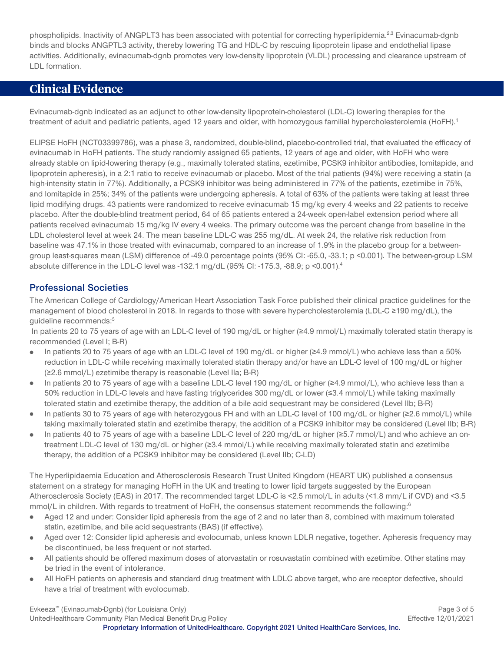phospholipids. Inactivity of ANGPLT3 has been associated with potential for correcting hyperlipidemia.<sup>2,3</sup> Evinacumab-dgnb binds and blocks ANGPTL3 activity, thereby lowering TG and HDL-C by rescuing lipoprotein lipase and endothelial lipase activities. Additionally, evinacumab-dgnb promotes very low-density lipoprotein (VLDL) processing and clearance upstream of LDL formation.

# <span id="page-2-0"></span>**Clinical Evidence**

Evinacumab-dgnb indicated as an adjunct to other low-density lipoprotein-cholesterol (LDL-C) lowering therapies for the treatment of adult and pediatric patients, aged 12 years and older, with homozygous familial hypercholesterolemia (HoFH).<sup>1</sup>

ELIPSE HoFH (NCT03399786), was a phase 3, randomized, double-blind, placebo-controlled trial, that evaluated the efficacy of evinacumab in HoFH patients. The study randomly assigned 65 patients, 12 years of age and older, with HoFH who were already stable on lipid-lowering therapy (e.g., maximally tolerated statins, ezetimibe, PCSK9 inhibitor antibodies, lomitapide, and lipoprotein apheresis), in a 2:1 ratio to receive evinacumab or placebo. Most of the trial patients (94%) were receiving a statin (a high-intensity statin in 77%). Additionally, a PCSK9 inhibitor was being administered in 77% of the patients, ezetimibe in 75%, and lomitapide in 25%; 34% of the patients were undergoing apheresis. A total of 63% of the patients were taking at least three lipid modifying drugs. 43 patients were randomized to receive evinacumab 15 mg/kg every 4 weeks and 22 patients to receive placebo. After the double-blind treatment period, 64 of 65 patients entered a 24-week open-label extension period where all patients received evinacumab 15 mg/kg IV every 4 weeks. The primary outcome was the percent change from baseline in the LDL cholesterol level at week 24. The mean baseline LDL-C was 255 mg/dL. At week 24, the relative risk reduction from baseline was 47.1% in those treated with evinacumab, compared to an increase of 1.9% in the placebo group for a betweengroup least-squares mean (LSM) difference of -49.0 percentage points (95% CI: -65.0, -33.1; p <0.001). The between-group LSM absolute difference in the LDL-C level was -132.1 mg/dL (95% CI: -175.3, -88.9; p <0.001).4

#### **Professional Societies**

The American College of Cardiology/American Heart Association Task Force published their clinical practice guidelines for the management of blood cholesterol in 2018. In regards to those with severe hypercholesterolemia (LDL-C ≥190 mg/dL), the guideline recommends:<sup>5</sup>

In patients 20 to 75 years of age with an LDL-C level of 190 mg/dL or higher (≥4.9 mmol/L) maximally tolerated statin therapy is recommended (Level I; B-R)

- $\bullet$ In patients 20 to 75 years of age with an LDL-C level of 190 mg/dL or higher (≥4.9 mmol/L) who achieve less than a 50% reduction in LDL-C while receiving maximally tolerated statin therapy and/or have an LDL-C level of 100 mg/dL or higher (≥2.6 mmol/L) ezetimibe therapy is reasonable (Level IIa; B-R)
- In patients 20 to 75 years of age with a baseline LDL-C level 190 mg/dL or higher (≥4.9 mmol/L), who achieve less than a  $\bullet$ 50% reduction in LDL-C levels and have fasting triglycerides 300 mg/dL or lower (≤3.4 mmol/L) while taking maximally tolerated statin and ezetimibe therapy, the addition of a bile acid sequestrant may be considered (Level IIb; B-R)
- In patients 30 to 75 years of age with heterozygous FH and with an LDL-C level of 100 mg/dL or higher (≥2.6 mmol/L) while taking maximally tolerated statin and ezetimibe therapy, the addition of a PCSK9 inhibitor may be considered (Level IIb; B-R)
- In patients 40 to 75 years of age with a baseline LDL-C level of 220 mg/dL or higher (≥5.7 mmol/L) and who achieve an ontreatment LDL-C level of 130 mg/dL or higher (≥3.4 mmol/L) while receiving maximally tolerated statin and ezetimibe therapy, the addition of a PCSK9 inhibitor may be considered (Level IIb; C-LD)

The Hyperlipidaemia Education and Atherosclerosis Research Trust United Kingdom (HEART UK) published a consensus statement on a strategy for managing HoFH in the UK and treating to lower lipid targets suggested by the European Atherosclerosis Society (EAS) in 2017. The recommended target LDL-C is <2.5 mmol/L in adults (<1.8 mm/L if CVD) and <3.5 mmol/L in children. With regards to treatment of HoFH, the consensus statement recommends the following:<sup>6</sup>

- Aged 12 and under: Consider lipid apheresis from the age of 2 and no later than 8, combined with maximum tolerated  $\bullet$ statin, ezetimibe, and bile acid sequestrants (BAS) (if effective).
- Aged over 12: Consider lipid apheresis and evolocumab, unless known LDLR negative, together. Apheresis frequency may be discontinued, be less frequent or not started.
- All patients should be offered maximum doses of atorvastatin or rosuvastatin combined with ezetimibe. Other statins may be tried in the event of intolerance.
- All HoFH patients on apheresis and standard drug treatment with LDLC above target, who are receptor defective, should  $\bullet$ have a trial of treatment with evolocumab.

Evkeeza™ (Evinacumab-Dgnb) (for Louisiana Only) Page 3 of 5 UnitedHealthcare Community Plan Medical Benefit Drug Policy **Effective 12/01/2021** Effective 12/01/2021

**Proprietary Information of UnitedHealthcare. Copyright 2021 United HealthCare Services, Inc.**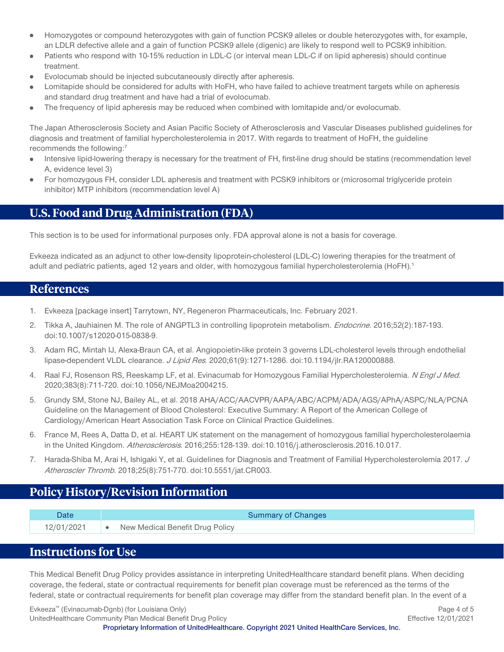- Homozygotes or compound heterozygotes with gain of function PCSK9 alleles or double heterozygotes with, for example,  $\bullet$ an LDLR defective allele and a gain of function PCSK9 allele (digenic) are likely to respond well to PCSK9 inhibition.
- Patients who respond with 10-15% reduction in LDL-C (or interval mean LDL-C if on lipid apheresis) should continue treatment.
- Evolocumab should be injected subcutaneously directly after apheresis.
- Lomitapide should be considered for adults with HoFH, who have failed to achieve treatment targets while on apheresis and standard drug treatment and have had a trial of evolocumab.
- The frequency of lipid apheresis may be reduced when combined with lomitapide and/or evolocumab.

The Japan Atherosclerosis Society and Asian Pacific Society of Atherosclerosis and Vascular Diseases published guidelines for diagnosis and treatment of familial hypercholesterolemia in 2017. With regards to treatment of HoFH, the guideline recommends the following:7

- Intensive lipid-lowering therapy is necessary for the treatment of FH, first-line drug should be statins (recommendation level  $\bullet$ A, evidence level 3)
- For homozygous FH, consider LDL apheresis and treatment with PCSK9 inhibitors or (microsomal triglyceride protein inhibitor) MTP inhibitors (recommendation level A)

## <span id="page-3-1"></span>**U.S. Food and Drug Administration (FDA)**

This section is to be used for informational purposes only. FDA approval alone is not a basis for coverage.

Evkeeza indicated as an adjunct to other low-density lipoprotein-cholesterol (LDL-C) lowering therapies for the treatment of adult and pediatric patients, aged 12 years and older, with homozygous familial hypercholesterolemia (HoFH).<sup>1</sup>

#### <span id="page-3-2"></span>**References**

- 1. Evkeeza [package insert] Tarrytown, NY, Regeneron Pharmaceuticals, Inc. February 2021.
- 2. Tikka A, Jauhiainen M. The role of ANGPTL3 in controlling lipoprotein metabolism. *Endocrine*. 2016;52(2):187-193. doi:10.1007/s12020-015-0838-9.
- 3. Adam RC, Mintah IJ, Alexa-Braun CA, et al. Angiopoietin-like protein 3 governs LDL-cholesterol levels through endothelial lipase-dependent VLDL clearance. *J Lipid Res.* 2020;61(9):1271-1286. doi:10.1194/jlr.RA120000888.
- 4. Raal FJ, Rosenson RS, Reeskamp LF, et al. Evinacumab for Homozygous Familial Hypercholesterolemia. N Engl J Med. 2020;383(8):711-720. doi:10.1056/NEJMoa2004215.
- 5. Grundy SM, Stone NJ, Bailey AL, et al. 2018 AHA/ACC/AACVPR/AAPA/ABC/ACPM/ADA/AGS/APhA/ASPC/NLA/PCNA Guideline on the Management of Blood Cholesterol: Executive Summary: A Report of the American College of Cardiology/American Heart Association Task Force on Clinical Practice Guidelines.
- 6. France M, Rees A, Datta D, et al. HEART UK statement on the management of homozygous familial hypercholesterolaemia in the United Kingdom. Atherosclerosis. 2016;255:128-139. doi:10.1016/j.atherosclerosis.2016.10.017.
- 7. Harada-Shiba M, Arai H, Ishigaki Y, et al. Guidelines for Diagnosis and Treatment of Familial Hypercholesterolemia 2017. J Atheroscler Thromb. 2018;25(8):751-770. doi:10.5551/jat.CR003.

# <span id="page-3-3"></span>**Policy History/Revision Information**

12/01/2021 • New Medical Benefit Drug Policy

Date **Summary of Changes** Changes **Summary of Changes** 

## <span id="page-3-0"></span>**Instructions for Use**

This Medical Benefit Drug Policy provides assistance in interpreting UnitedHealthcare standard benefit plans. When deciding coverage, the federal, state or contractual requirements for benefit plan coverage must be referenced as the terms of the federal, state or contractual requirements for benefit plan coverage may differ from the standard benefit plan. In the event of a

Evkeeza™ (Evinacumab-Dgnb) (for Louisiana Only) Page 4 of 5 UnitedHealthcare Community Plan Medical Benefit Drug Policy **Effective 12/01/2021** Effective 12/01/2021

**Proprietary Information of UnitedHealthcare. Copyright 2021 United HealthCare Services, Inc.**